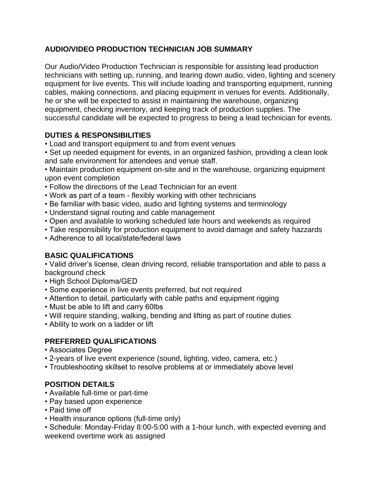# **AUDIO/VIDEO PRODUCTION TECHNICIAN JOB SUMMARY**

Our Audio/Video Production Technician is responsible for assisting lead production technicians with setting up, running, and tearing down audio, video, lighting and scenery equipment for live events. This will include loading and transporting equipment, running cables, making connections, and placing equipment in venues for events. Additionally, he or she will be expected to assist in maintaining the warehouse, organizing equipment, checking inventory, and keeping track of production supplies. The successful candidate will be expected to progress to being a lead technician for events.

# **DUTIES & RESPONSIBILITIES**

- Load and transport equipment to and from event venues
- Set up needed equipment for events, in an organized fashion, providing a clean look and safe environment for attendees and venue staff.

• Maintain production equipment on-site and in the warehouse, organizing equipment upon event completion

- Follow the directions of the Lead Technician for an event
- Work as part of a team flexibly working with other technicians
- Be familiar with basic video, audio and lighting systems and terminology
- Understand signal routing and cable management
- Open and available to working scheduled late hours and weekends as required
- Take responsibility for production equipment to avoid damage and safety hazzards
- Adherence to all local/state/federal laws

## **BASIC QUALIFICATIONS**

• Valid driver's license, clean driving record, reliable transportation and able to pass a background check

- High School Diploma/GED
- Some experience in live events preferred, but not required
- Attention to detail, particularly with cable paths and equipment rigging
- Must be able to lift and carry 60lbs
- Will require standing, walking, bending and lifting as part of routine duties
- Ability to work on a ladder or lift

## **PREFERRED QUALIFICATIONS**

- Associates Degree
- 2-years of live event experience (sound, lighting, video, camera, etc.)
- Troubleshooting skillset to resolve problems at or immediately above level

## **POSITION DETAILS**

- Available full-time or part-time
- Pay based upon experience
- Paid time off
- Health insurance options (full-time only)

• Schedule: Monday-Friday 8:00-5:00 with a 1-hour lunch, with expected evening and weekend overtime work as assigned